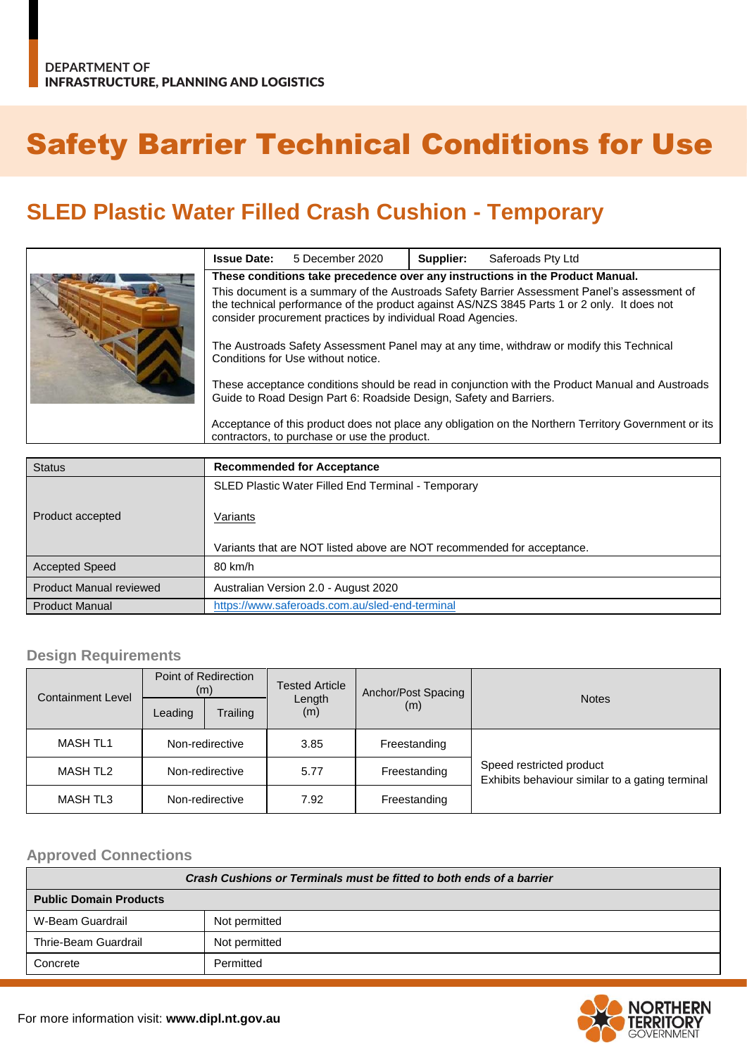# Safety Barrier Technical Conditions for Use

## **SLED Plastic Water Filled Crash Cushion - Temporary**

|  | <b>Issue Date:</b>                                                                                                                                                                                                                                        | 5 December 2020 | Supplier: | Saferoads Pty Ltd |  |
|--|-----------------------------------------------------------------------------------------------------------------------------------------------------------------------------------------------------------------------------------------------------------|-----------------|-----------|-------------------|--|
|  | These conditions take precedence over any instructions in the Product Manual.                                                                                                                                                                             |                 |           |                   |  |
|  | This document is a summary of the Austroads Safety Barrier Assessment Panel's assessment of<br>the technical performance of the product against AS/NZS 3845 Parts 1 or 2 only. It does not<br>consider procurement practices by individual Road Agencies. |                 |           |                   |  |
|  | The Austroads Safety Assessment Panel may at any time, withdraw or modify this Technical<br>Conditions for Use without notice.                                                                                                                            |                 |           |                   |  |
|  | These acceptance conditions should be read in conjunction with the Product Manual and Austroads<br>Guide to Road Design Part 6: Roadside Design, Safety and Barriers.                                                                                     |                 |           |                   |  |
|  | Acceptance of this product does not place any obligation on the Northern Territory Government or its<br>contractors, to purchase or use the product.                                                                                                      |                 |           |                   |  |

| <b>Status</b>                  | <b>Recommended for Acceptance</b>                                      |  |  |  |
|--------------------------------|------------------------------------------------------------------------|--|--|--|
|                                | SLED Plastic Water Filled End Terminal - Temporary                     |  |  |  |
| Product accepted               | Variants                                                               |  |  |  |
|                                | Variants that are NOT listed above are NOT recommended for acceptance. |  |  |  |
| <b>Accepted Speed</b>          | 80 km/h                                                                |  |  |  |
| <b>Product Manual reviewed</b> | Australian Version 2.0 - August 2020                                   |  |  |  |
| <b>Product Manual</b>          | https://www.saferoads.com.au/sled-end-terminal                         |  |  |  |

#### **Design Requirements**

| <b>Containment Level</b> | Point of Redirection<br>(m) |          | <b>Tested Article</b> | Anchor/Post Spacing |                                                                             |  |
|--------------------------|-----------------------------|----------|-----------------------|---------------------|-----------------------------------------------------------------------------|--|
|                          | Leading                     | Trailing | Length<br>(m)         | (m)                 | <b>Notes</b>                                                                |  |
| <b>MASH TL1</b>          | Non-redirective             |          | 3.85                  | Freestanding        | Speed restricted product<br>Exhibits behaviour similar to a gating terminal |  |
| <b>MASH TL2</b>          | Non-redirective             |          | 5.77                  | Freestanding        |                                                                             |  |
| <b>MASH TL3</b>          | Non-redirective             |          | 7.92                  | Freestanding        |                                                                             |  |

#### **Approved Connections**

| Crash Cushions or Terminals must be fitted to both ends of a barrier |               |  |  |
|----------------------------------------------------------------------|---------------|--|--|
| <b>Public Domain Products</b>                                        |               |  |  |
| W-Beam Guardrail                                                     | Not permitted |  |  |
| Thrie-Beam Guardrail                                                 | Not permitted |  |  |
| Concrete                                                             | Permitted     |  |  |